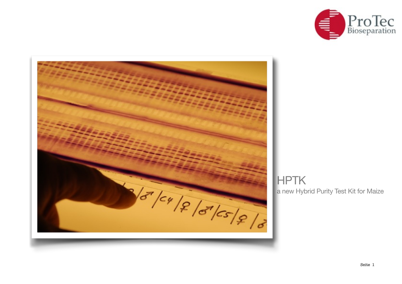



# a new Hybrid Purity Test Kit for Maize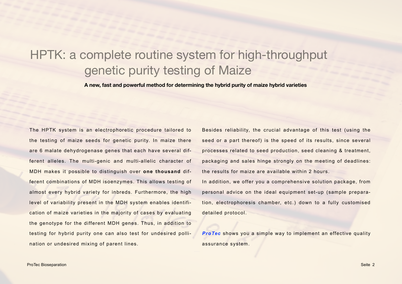## HPTK: a complete routine system for high-throughput genetic purity testing of Maize

**A new, fast and powerful method for determining the hybrid purity of maize hybrid varieties**

The HPTK system is an electrophoretic procedure tailored to the testing of maize seeds for genetic purity. In maize there are 6 malate dehydrogenase genes that each have several different alleles. The multi-genic and multi-allelic character of MDH makes it possible to distinguish over **one thousand** different combinations of MDH isoenzymes. This allows testing of almost every hybrid variety for inbreds. Furthermore, the high level of variability present in the MDH system enables identification of maize varieties in the majority of cases by evaluating the genotype for the different MDH genes. Thus, in addition to testing for hybrid purity one can also test for undesired pollination or undesired mixing of parent lines.

Besides reliability, the crucial advantage of this test (using the seed or a part thereof) is the speed of its results, since several processes related to seed production, seed cleaning & treatment, packaging and sales hinge strongly on the meeting of deadlines: the results for maize are available within 2 hours.

In addition, we offer you a comprehensive solution package, from personal advice on the ideal equipment set-up (sample preparation, electrophoresis chamber, etc.) down to a fully customised detailed protocol.

*ProTec* shows you a simple way to implement an effective quality assurance system.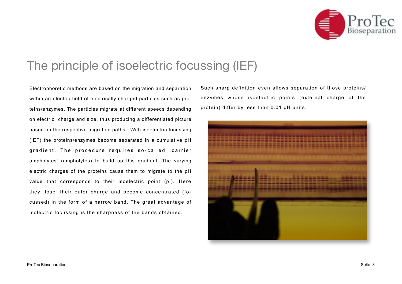

## The principle of isoelectric focussing (IEF)

Electrophoretic methods are based on the migration and separation within an electric field of electrically charged particles such as proteins/enzymes. The particles migrate at different speeds depending on electric charge and size, thus producing a differentiated picture based on the respective migration paths. With isoelectric focussing (IEF) the proteins/enzymes become separated in a cumulative pH gradient. The procedure requires so-called , carrier ampholytes' (ampholytes) to build up this gradient. The varying electric charges of the proteins cause them to migrate to the pH value that corresponds to their isoelectric point (pI). Here they ,lose' their outer charge and become concentrated (focussed) in the form of a narrow band. The great advantage of isolectric focussing is the sharpness of the bands obtained.

Such sharp definition even allows separation of those proteins/ enzymes whose isoelectric points (external charge of the protein) differ by less than 0.01 pH units.

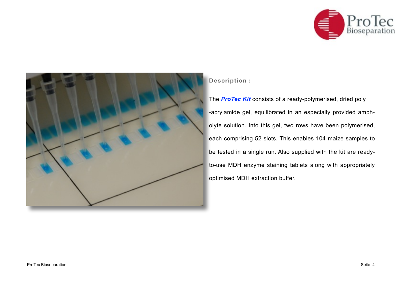



### **Description :**

The *ProTec Kit* consists of a ready-polymerised, dried poly -acrylamide gel, equilibrated in an especially provided ampholyte solution. Into this gel, two rows have been polymerised, each comprising 52 slots. This enables 104 maize samples to be tested in a single run. Also supplied with the kit are readyto-use MDH enzyme staining tablets along with appropriately optimised MDH extraction buffer.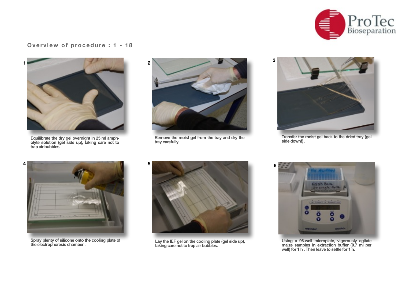

#### **Overview of procedure : 1 - 18**



**Equilibrate the dry gel overnight in 25 ml ampholyte solution (gel side up), taking care not to trap air bubbles.**



**Remove the moist gel from the tray and dry the tray carefully.**



**Transfer the moist gel back to the dried tray (gel side down!) .**



**Spray plenty of silicone onto the cooling plate of** 



**the electrophoresis chamber . Lay the IEF gel on the cooling plate (gel side up), taking care not to trap air bubbles.** 



**Using a 96-well microplate, vigorously agitate maize samples in extraction buffer (0.7 ml per well) for 1 h . Then leave to settle for 1 h.**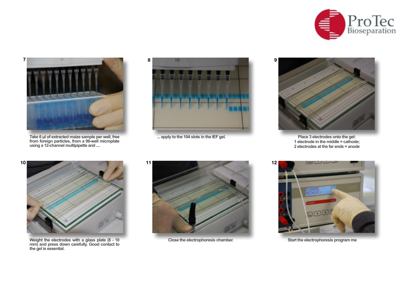



**Take 6 µl of extracted maize sample per well, free from foreign particles, from a 96-well microplate using a 12-channel multipipette and ....**



... apply to the 104 slots in the IEF gel.



Place 3 electrodes onto the gel:<br>1 electrode in the middle = cathode; **2 electrodes at the far ends = anode**



**Weight the electrodes with a glass plate (8 - 10 mm) and press down carefully. Good contact to the gel is essential.** 





**Close the electrophoresis chamber. Start the electrophoresis program me**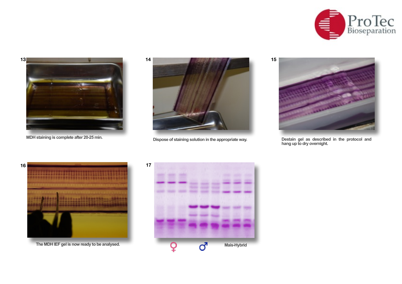





MDH staining is complete after 20-25 min.<br>
Dispose of staining solution in the appropriate way.<br>
Destain gel as described in the protocol and



**hang up to dry overnight.**